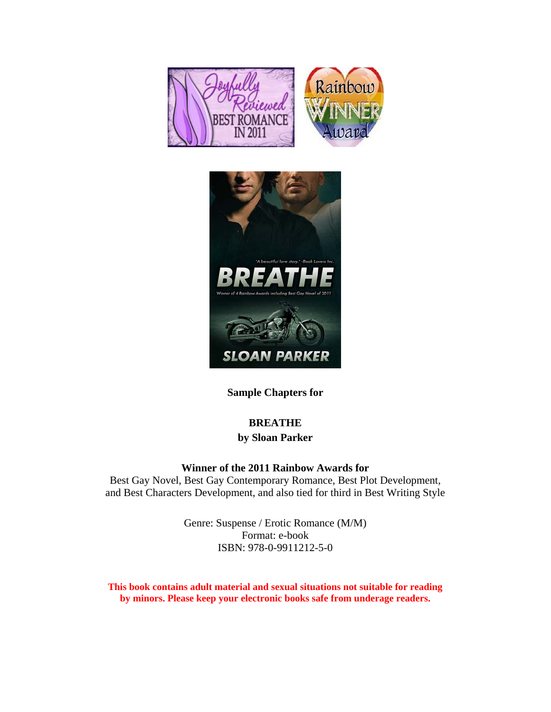



**Sample Chapters for** 

## **BREATHE**

### **by Sloan Parker**

### **Winner of the 2011 Rainbow Awards for**

Best Gay Novel, Best Gay Contemporary Romance, Best Plot Development, and Best Characters Development, and also tied for third in Best Writing Style

> Genre: Suspense / Erotic Romance (M/M) Format: e-book ISBN: 978-0-9911212-5-0

**This book contains adult material and sexual situations not suitable for reading by minors. Please keep your electronic books safe from underage readers.**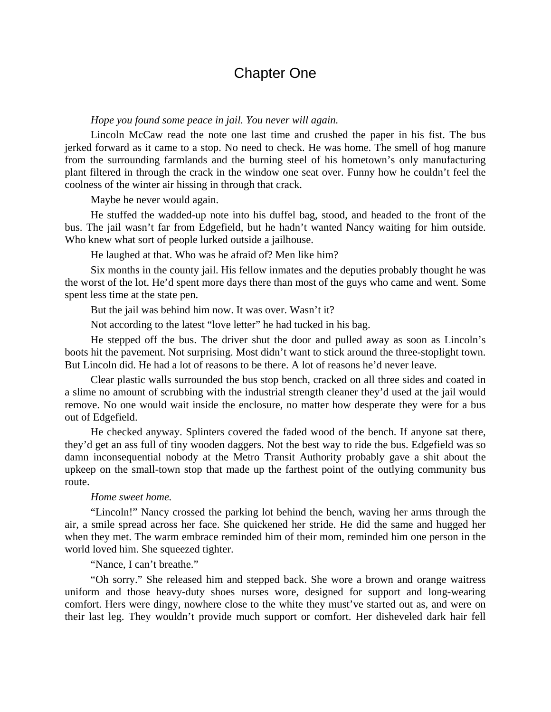# Chapter One

#### *Hope you found some peace in jail. You never will again.*

Lincoln McCaw read the note one last time and crushed the paper in his fist. The bus jerked forward as it came to a stop. No need to check. He was home. The smell of hog manure from the surrounding farmlands and the burning steel of his hometown's only manufacturing plant filtered in through the crack in the window one seat over. Funny how he couldn't feel the coolness of the winter air hissing in through that crack.

Maybe he never would again.

He stuffed the wadded-up note into his duffel bag, stood, and headed to the front of the bus. The jail wasn't far from Edgefield, but he hadn't wanted Nancy waiting for him outside. Who knew what sort of people lurked outside a jailhouse.

He laughed at that. Who was he afraid of? Men like him?

Six months in the county jail. His fellow inmates and the deputies probably thought he was the worst of the lot. He'd spent more days there than most of the guys who came and went. Some spent less time at the state pen.

But the jail was behind him now. It was over. Wasn't it?

Not according to the latest "love letter" he had tucked in his bag.

He stepped off the bus. The driver shut the door and pulled away as soon as Lincoln's boots hit the pavement. Not surprising. Most didn't want to stick around the three-stoplight town. But Lincoln did. He had a lot of reasons to be there. A lot of reasons he'd never leave.

Clear plastic walls surrounded the bus stop bench, cracked on all three sides and coated in a slime no amount of scrubbing with the industrial strength cleaner they'd used at the jail would remove. No one would wait inside the enclosure, no matter how desperate they were for a bus out of Edgefield.

He checked anyway. Splinters covered the faded wood of the bench. If anyone sat there, they'd get an ass full of tiny wooden daggers. Not the best way to ride the bus. Edgefield was so damn inconsequential nobody at the Metro Transit Authority probably gave a shit about the upkeep on the small-town stop that made up the farthest point of the outlying community bus route.

#### *Home sweet home.*

"Lincoln!" Nancy crossed the parking lot behind the bench, waving her arms through the air, a smile spread across her face. She quickened her stride. He did the same and hugged her when they met. The warm embrace reminded him of their mom, reminded him one person in the world loved him. She squeezed tighter.

### "Nance, I can't breathe."

"Oh sorry." She released him and stepped back. She wore a brown and orange waitress uniform and those heavy-duty shoes nurses wore, designed for support and long-wearing comfort. Hers were dingy, nowhere close to the white they must've started out as, and were on their last leg. They wouldn't provide much support or comfort. Her disheveled dark hair fell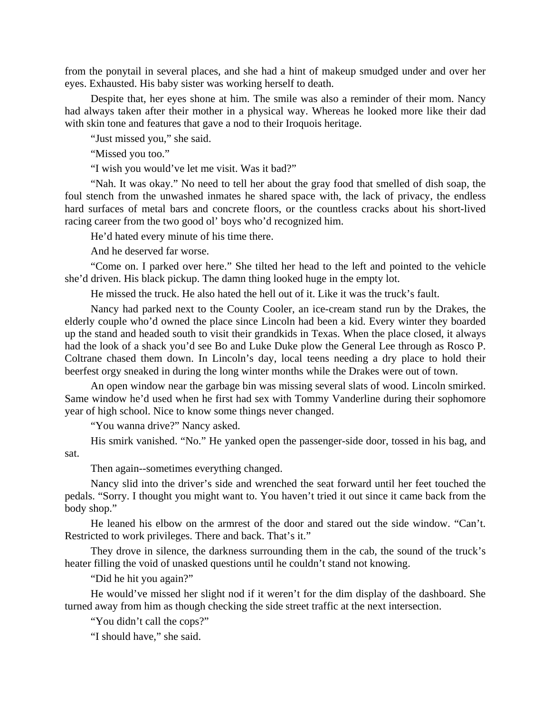from the ponytail in several places, and she had a hint of makeup smudged under and over her eyes. Exhausted. His baby sister was working herself to death.

Despite that, her eyes shone at him. The smile was also a reminder of their mom. Nancy had always taken after their mother in a physical way. Whereas he looked more like their dad with skin tone and features that gave a nod to their Iroquois heritage.

"Just missed you," she said.

"Missed you too."

"I wish you would've let me visit. Was it bad?"

"Nah. It was okay." No need to tell her about the gray food that smelled of dish soap, the foul stench from the unwashed inmates he shared space with, the lack of privacy, the endless hard surfaces of metal bars and concrete floors, or the countless cracks about his short-lived racing career from the two good ol' boys who'd recognized him.

He'd hated every minute of his time there.

And he deserved far worse.

"Come on. I parked over here." She tilted her head to the left and pointed to the vehicle she'd driven. His black pickup. The damn thing looked huge in the empty lot.

He missed the truck. He also hated the hell out of it. Like it was the truck's fault.

Nancy had parked next to the County Cooler, an ice-cream stand run by the Drakes, the elderly couple who'd owned the place since Lincoln had been a kid. Every winter they boarded up the stand and headed south to visit their grandkids in Texas. When the place closed, it always had the look of a shack you'd see Bo and Luke Duke plow the General Lee through as Rosco P. Coltrane chased them down. In Lincoln's day, local teens needing a dry place to hold their beerfest orgy sneaked in during the long winter months while the Drakes were out of town.

An open window near the garbage bin was missing several slats of wood. Lincoln smirked. Same window he'd used when he first had sex with Tommy Vanderline during their sophomore year of high school. Nice to know some things never changed.

"You wanna drive?" Nancy asked.

His smirk vanished. "No." He yanked open the passenger-side door, tossed in his bag, and sat.

Then again--sometimes everything changed.

Nancy slid into the driver's side and wrenched the seat forward until her feet touched the pedals. "Sorry. I thought you might want to. You haven't tried it out since it came back from the body shop."

He leaned his elbow on the armrest of the door and stared out the side window. "Can't. Restricted to work privileges. There and back. That's it."

They drove in silence, the darkness surrounding them in the cab, the sound of the truck's heater filling the void of unasked questions until he couldn't stand not knowing.

"Did he hit you again?"

He would've missed her slight nod if it weren't for the dim display of the dashboard. She turned away from him as though checking the side street traffic at the next intersection.

"You didn't call the cops?"

"I should have," she said.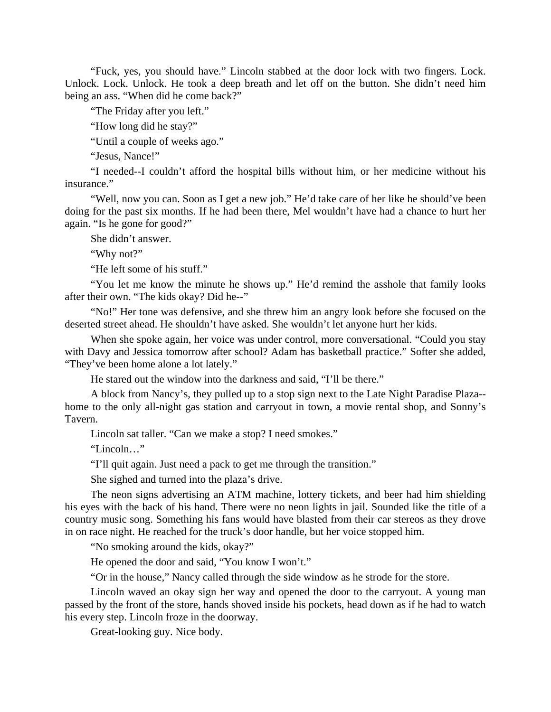"Fuck, yes, you should have." Lincoln stabbed at the door lock with two fingers. Lock. Unlock. Lock. Unlock. He took a deep breath and let off on the button. She didn't need him being an ass. "When did he come back?"

"The Friday after you left."

"How long did he stay?"

"Until a couple of weeks ago."

"Jesus, Nance!"

"I needed--I couldn't afford the hospital bills without him, or her medicine without his insurance."

"Well, now you can. Soon as I get a new job." He'd take care of her like he should've been doing for the past six months. If he had been there, Mel wouldn't have had a chance to hurt her again. "Is he gone for good?"

She didn't answer.

"Why not?"

"He left some of his stuff."

"You let me know the minute he shows up." He'd remind the asshole that family looks after their own. "The kids okay? Did he--"

"No!" Her tone was defensive, and she threw him an angry look before she focused on the deserted street ahead. He shouldn't have asked. She wouldn't let anyone hurt her kids.

When she spoke again, her voice was under control, more conversational. "Could you stay with Davy and Jessica tomorrow after school? Adam has basketball practice." Softer she added, "They've been home alone a lot lately."

He stared out the window into the darkness and said, "I'll be there."

A block from Nancy's, they pulled up to a stop sign next to the Late Night Paradise Plaza- home to the only all-night gas station and carryout in town, a movie rental shop, and Sonny's Tavern.

Lincoln sat taller. "Can we make a stop? I need smokes."

"Lincoln…"

"I'll quit again. Just need a pack to get me through the transition."

She sighed and turned into the plaza's drive.

The neon signs advertising an ATM machine, lottery tickets, and beer had him shielding his eyes with the back of his hand. There were no neon lights in jail. Sounded like the title of a country music song. Something his fans would have blasted from their car stereos as they drove in on race night. He reached for the truck's door handle, but her voice stopped him.

"No smoking around the kids, okay?"

He opened the door and said, "You know I won't."

"Or in the house," Nancy called through the side window as he strode for the store.

Lincoln waved an okay sign her way and opened the door to the carryout. A young man passed by the front of the store, hands shoved inside his pockets, head down as if he had to watch his every step. Lincoln froze in the doorway.

Great-looking guy. Nice body.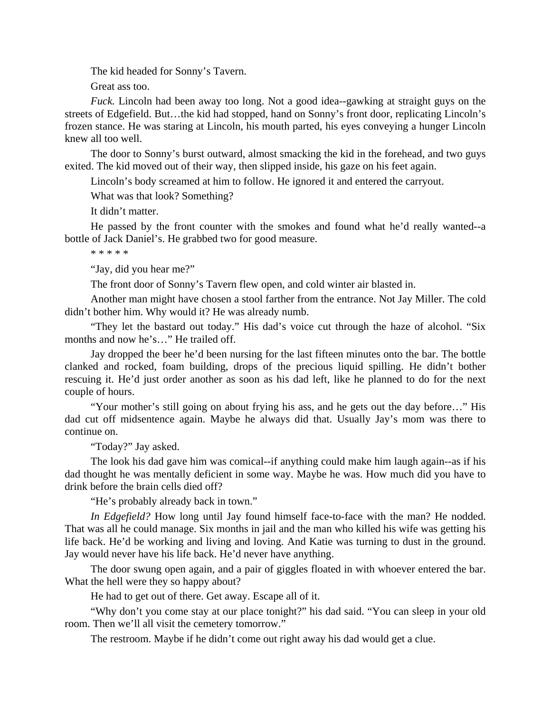The kid headed for Sonny's Tavern.

Great ass too.

*Fuck.* Lincoln had been away too long. Not a good idea--gawking at straight guys on the streets of Edgefield. But…the kid had stopped, hand on Sonny's front door, replicating Lincoln's frozen stance. He was staring at Lincoln, his mouth parted, his eyes conveying a hunger Lincoln knew all too well.

The door to Sonny's burst outward, almost smacking the kid in the forehead, and two guys exited. The kid moved out of their way, then slipped inside, his gaze on his feet again.

Lincoln's body screamed at him to follow. He ignored it and entered the carryout.

What was that look? Something?

It didn't matter.

He passed by the front counter with the smokes and found what he'd really wanted--a bottle of Jack Daniel's. He grabbed two for good measure.

\* \* \* \* \*

"Jay, did you hear me?"

The front door of Sonny's Tavern flew open, and cold winter air blasted in.

Another man might have chosen a stool farther from the entrance. Not Jay Miller. The cold didn't bother him. Why would it? He was already numb.

"They let the bastard out today." His dad's voice cut through the haze of alcohol. "Six months and now he's…" He trailed off.

Jay dropped the beer he'd been nursing for the last fifteen minutes onto the bar. The bottle clanked and rocked, foam building, drops of the precious liquid spilling. He didn't bother rescuing it. He'd just order another as soon as his dad left, like he planned to do for the next couple of hours.

"Your mother's still going on about frying his ass, and he gets out the day before…" His dad cut off midsentence again. Maybe he always did that. Usually Jay's mom was there to continue on.

"Today?" Jay asked.

The look his dad gave him was comical--if anything could make him laugh again--as if his dad thought he was mentally deficient in some way. Maybe he was. How much did you have to drink before the brain cells died off?

"He's probably already back in town."

*In Edgefield?* How long until Jay found himself face-to-face with the man? He nodded. That was all he could manage. Six months in jail and the man who killed his wife was getting his life back. He'd be working and living and loving. And Katie was turning to dust in the ground. Jay would never have his life back. He'd never have anything.

The door swung open again, and a pair of giggles floated in with whoever entered the bar. What the hell were they so happy about?

He had to get out of there. Get away. Escape all of it.

"Why don't you come stay at our place tonight?" his dad said. "You can sleep in your old room. Then we'll all visit the cemetery tomorrow."

The restroom. Maybe if he didn't come out right away his dad would get a clue.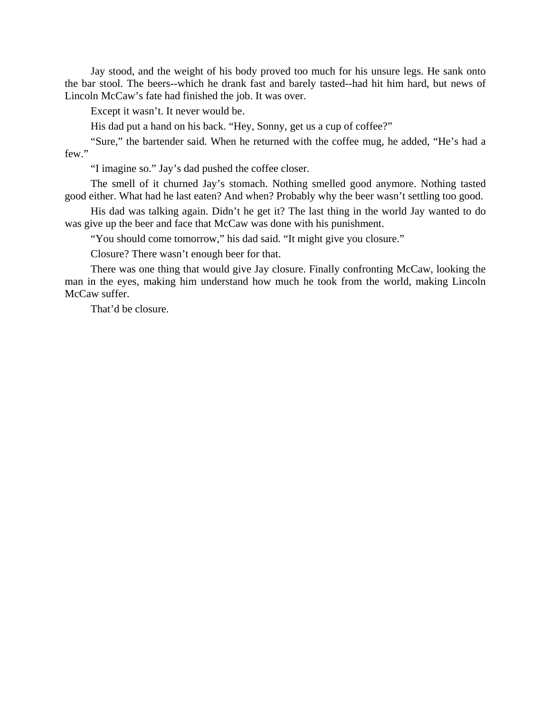Jay stood, and the weight of his body proved too much for his unsure legs. He sank onto the bar stool. The beers--which he drank fast and barely tasted--had hit him hard, but news of Lincoln McCaw's fate had finished the job. It was over.

Except it wasn't. It never would be.

His dad put a hand on his back. "Hey, Sonny, get us a cup of coffee?"

"Sure," the bartender said. When he returned with the coffee mug, he added, "He's had a few."

"I imagine so." Jay's dad pushed the coffee closer.

The smell of it churned Jay's stomach. Nothing smelled good anymore. Nothing tasted good either. What had he last eaten? And when? Probably why the beer wasn't settling too good.

His dad was talking again. Didn't he get it? The last thing in the world Jay wanted to do was give up the beer and face that McCaw was done with his punishment.

"You should come tomorrow," his dad said. "It might give you closure."

Closure? There wasn't enough beer for that.

There was one thing that would give Jay closure. Finally confronting McCaw, looking the man in the eyes, making him understand how much he took from the world, making Lincoln McCaw suffer.

That'd be closure.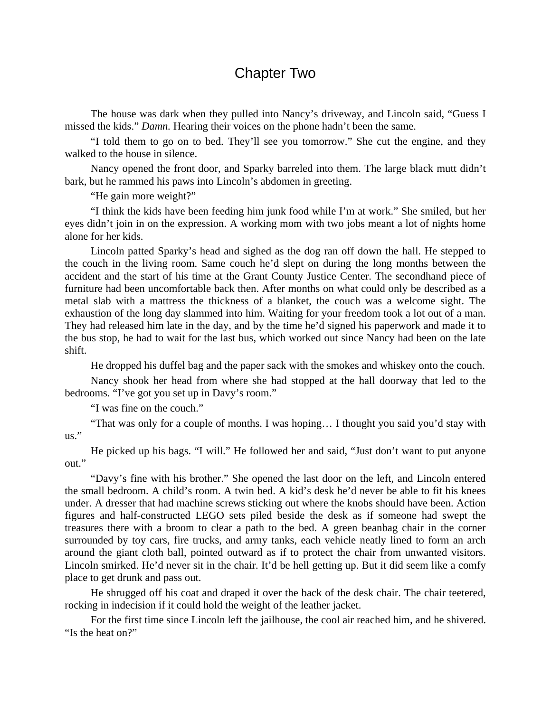## Chapter Two

The house was dark when they pulled into Nancy's driveway, and Lincoln said, "Guess I missed the kids." *Damn.* Hearing their voices on the phone hadn't been the same.

"I told them to go on to bed. They'll see you tomorrow." She cut the engine, and they walked to the house in silence.

Nancy opened the front door, and Sparky barreled into them. The large black mutt didn't bark, but he rammed his paws into Lincoln's abdomen in greeting.

"He gain more weight?"

"I think the kids have been feeding him junk food while I'm at work." She smiled, but her eyes didn't join in on the expression. A working mom with two jobs meant a lot of nights home alone for her kids.

Lincoln patted Sparky's head and sighed as the dog ran off down the hall. He stepped to the couch in the living room. Same couch he'd slept on during the long months between the accident and the start of his time at the Grant County Justice Center. The secondhand piece of furniture had been uncomfortable back then. After months on what could only be described as a metal slab with a mattress the thickness of a blanket, the couch was a welcome sight. The exhaustion of the long day slammed into him. Waiting for your freedom took a lot out of a man. They had released him late in the day, and by the time he'd signed his paperwork and made it to the bus stop, he had to wait for the last bus, which worked out since Nancy had been on the late shift.

He dropped his duffel bag and the paper sack with the smokes and whiskey onto the couch.

Nancy shook her head from where she had stopped at the hall doorway that led to the bedrooms. "I've got you set up in Davy's room."

"I was fine on the couch."

"That was only for a couple of months. I was hoping… I thought you said you'd stay with  $\overline{\mathbf{u}}$ .

He picked up his bags. "I will." He followed her and said, "Just don't want to put anyone out."

"Davy's fine with his brother." She opened the last door on the left, and Lincoln entered the small bedroom. A child's room. A twin bed. A kid's desk he'd never be able to fit his knees under. A dresser that had machine screws sticking out where the knobs should have been. Action figures and half-constructed LEGO sets piled beside the desk as if someone had swept the treasures there with a broom to clear a path to the bed. A green beanbag chair in the corner surrounded by toy cars, fire trucks, and army tanks, each vehicle neatly lined to form an arch around the giant cloth ball, pointed outward as if to protect the chair from unwanted visitors. Lincoln smirked. He'd never sit in the chair. It'd be hell getting up. But it did seem like a comfy place to get drunk and pass out.

He shrugged off his coat and draped it over the back of the desk chair. The chair teetered, rocking in indecision if it could hold the weight of the leather jacket.

For the first time since Lincoln left the jailhouse, the cool air reached him, and he shivered. "Is the heat on?"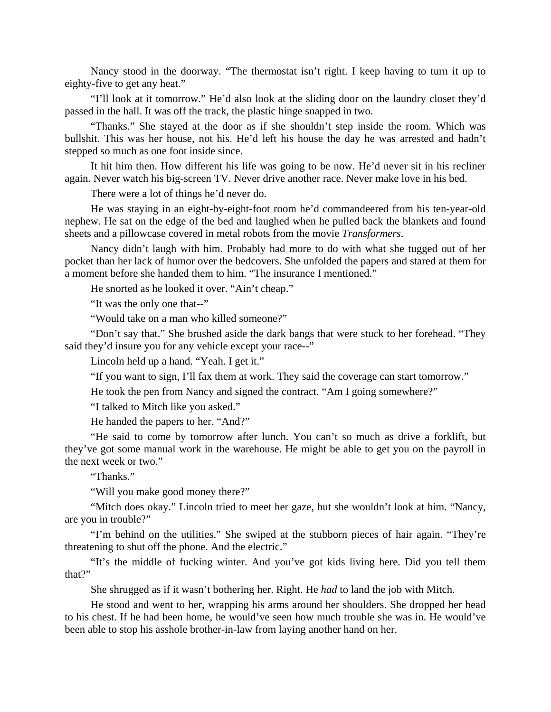Nancy stood in the doorway. "The thermostat isn't right. I keep having to turn it up to eighty-five to get any heat."

"I'll look at it tomorrow." He'd also look at the sliding door on the laundry closet they'd passed in the hall. It was off the track, the plastic hinge snapped in two.

"Thanks." She stayed at the door as if she shouldn't step inside the room. Which was bullshit. This was her house, not his. He'd left his house the day he was arrested and hadn't stepped so much as one foot inside since.

It hit him then. How different his life was going to be now. He'd never sit in his recliner again. Never watch his big-screen TV. Never drive another race. Never make love in his bed.

There were a lot of things he'd never do.

He was staying in an eight-by-eight-foot room he'd commandeered from his ten-year-old nephew. He sat on the edge of the bed and laughed when he pulled back the blankets and found sheets and a pillowcase covered in metal robots from the movie *Transformers*.

Nancy didn't laugh with him. Probably had more to do with what she tugged out of her pocket than her lack of humor over the bedcovers. She unfolded the papers and stared at them for a moment before she handed them to him. "The insurance I mentioned."

He snorted as he looked it over. "Ain't cheap."

"It was the only one that--"

"Would take on a man who killed someone?"

"Don't say that." She brushed aside the dark bangs that were stuck to her forehead. "They said they'd insure you for any vehicle except your race--"

Lincoln held up a hand. "Yeah. I get it."

"If you want to sign, I'll fax them at work. They said the coverage can start tomorrow."

He took the pen from Nancy and signed the contract. "Am I going somewhere?"

"I talked to Mitch like you asked."

He handed the papers to her. "And?"

"He said to come by tomorrow after lunch. You can't so much as drive a forklift, but they've got some manual work in the warehouse. He might be able to get you on the payroll in the next week or two."

"Thanks."

"Will you make good money there?"

"Mitch does okay." Lincoln tried to meet her gaze, but she wouldn't look at him. "Nancy, are you in trouble?"

"I'm behind on the utilities." She swiped at the stubborn pieces of hair again. "They're threatening to shut off the phone. And the electric."

"It's the middle of fucking winter. And you've got kids living here. Did you tell them that?"

She shrugged as if it wasn't bothering her. Right. He *had* to land the job with Mitch.

He stood and went to her, wrapping his arms around her shoulders. She dropped her head to his chest. If he had been home, he would've seen how much trouble she was in. He would've been able to stop his asshole brother-in-law from laying another hand on her.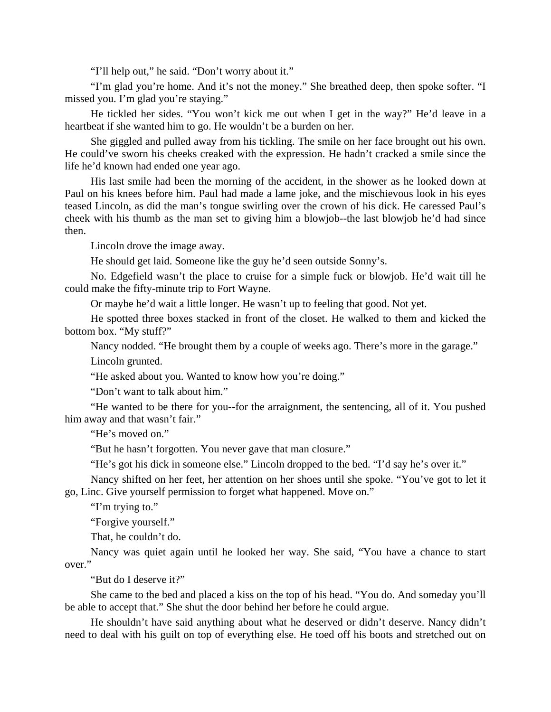"I'll help out," he said. "Don't worry about it."

"I'm glad you're home. And it's not the money." She breathed deep, then spoke softer. "I missed you. I'm glad you're staying."

He tickled her sides. "You won't kick me out when I get in the way?" He'd leave in a heartbeat if she wanted him to go. He wouldn't be a burden on her.

She giggled and pulled away from his tickling. The smile on her face brought out his own. He could've sworn his cheeks creaked with the expression. He hadn't cracked a smile since the life he'd known had ended one year ago.

His last smile had been the morning of the accident, in the shower as he looked down at Paul on his knees before him. Paul had made a lame joke, and the mischievous look in his eyes teased Lincoln, as did the man's tongue swirling over the crown of his dick. He caressed Paul's cheek with his thumb as the man set to giving him a blowjob--the last blowjob he'd had since then.

Lincoln drove the image away.

He should get laid. Someone like the guy he'd seen outside Sonny's.

No. Edgefield wasn't the place to cruise for a simple fuck or blowjob. He'd wait till he could make the fifty-minute trip to Fort Wayne.

Or maybe he'd wait a little longer. He wasn't up to feeling that good. Not yet.

He spotted three boxes stacked in front of the closet. He walked to them and kicked the bottom box. "My stuff?"

Nancy nodded. "He brought them by a couple of weeks ago. There's more in the garage."

Lincoln grunted.

"He asked about you. Wanted to know how you're doing."

"Don't want to talk about him."

"He wanted to be there for you--for the arraignment, the sentencing, all of it. You pushed him away and that wasn't fair."

"He's moved on."

"But he hasn't forgotten. You never gave that man closure."

"He's got his dick in someone else." Lincoln dropped to the bed. "I'd say he's over it."

Nancy shifted on her feet, her attention on her shoes until she spoke. "You've got to let it go, Linc. Give yourself permission to forget what happened. Move on."

"I'm trying to."

"Forgive yourself."

That, he couldn't do.

Nancy was quiet again until he looked her way. She said, "You have a chance to start over."

"But do I deserve it?"

She came to the bed and placed a kiss on the top of his head. "You do. And someday you'll be able to accept that." She shut the door behind her before he could argue.

He shouldn't have said anything about what he deserved or didn't deserve. Nancy didn't need to deal with his guilt on top of everything else. He toed off his boots and stretched out on